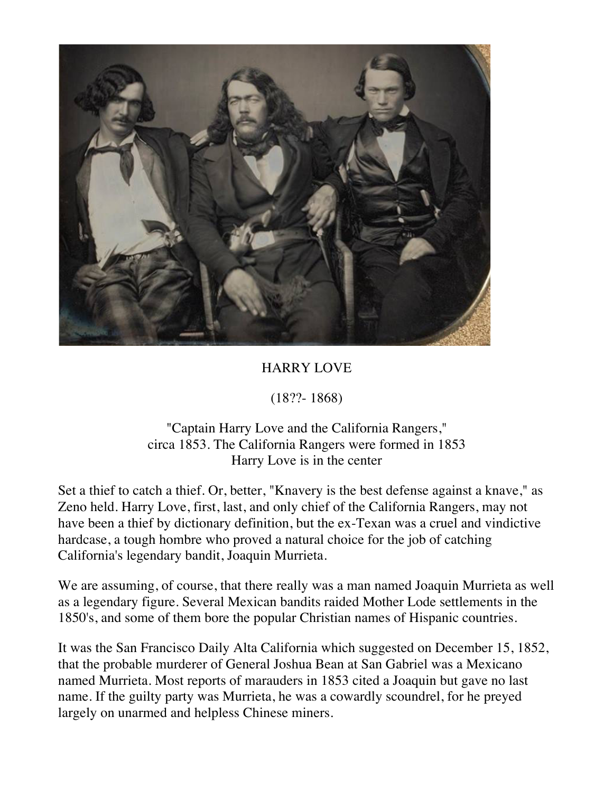

## HARRY LOVE

(18??- 1868)

## "Captain Harry Love and the California Rangers," circa 1853. The California Rangers were formed in 1853 Harry Love is in the center

Set a thief to catch a thief. Or, better, "Knavery is the best defense against a knave," as Zeno held. Harry Love, first, last, and only chief of the California Rangers, may not have been a thief by dictionary definition, but the ex-Texan was a cruel and vindictive hardcase, a tough hombre who proved a natural choice for the job of catching California's legendary bandit, Joaquin Murrieta.

We are assuming, of course, that there really was a man named Joaquin Murrieta as well as a legendary figure. Several Mexican bandits raided Mother Lode settlements in the 1850's, and some of them bore the popular Christian names of Hispanic countries.

It was the San Francisco Daily Alta California which suggested on December 15, 1852, that the probable murderer of General Joshua Bean at San Gabriel was a Mexicano named Murrieta. Most reports of marauders in 1853 cited a Joaquin but gave no last name. If the guilty party was Murrieta, he was a cowardly scoundrel, for he preyed largely on unarmed and helpless Chinese miners.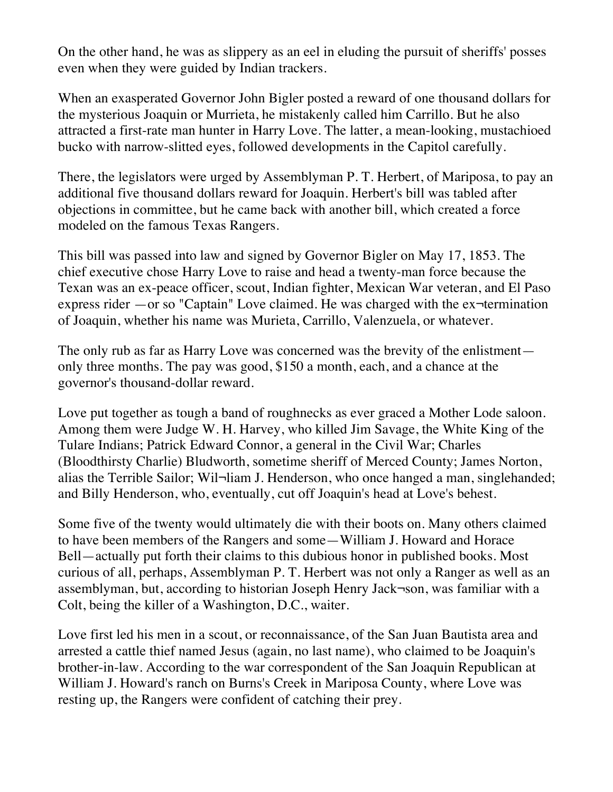On the other hand, he was as slippery as an eel in eluding the pursuit of sheriffs' posses even when they were guided by Indian trackers.

When an exasperated Governor John Bigler posted a reward of one thousand dollars for the mysterious Joaquin or Murrieta, he mistakenly called him Carrillo. But he also attracted a first-rate man hunter in Harry Love. The latter, a mean-looking, mustachioed bucko with narrow-slitted eyes, followed developments in the Capitol carefully.

There, the legislators were urged by Assemblyman P. T. Herbert, of Mariposa, to pay an additional five thousand dollars reward for Joaquin. Herbert's bill was tabled after objections in committee, but he came back with another bill, which created a force modeled on the famous Texas Rangers.

This bill was passed into law and signed by Governor Bigler on May 17, 1853. The chief executive chose Harry Love to raise and head a twenty-man force because the Texan was an ex-peace officer, scout, Indian fighter, Mexican War veteran, and El Paso express rider —or so "Captain" Love claimed. He was charged with the ex¬termination of Joaquin, whether his name was Murieta, Carrillo, Valenzuela, or whatever.

The only rub as far as Harry Love was concerned was the brevity of the enlistment only three months. The pay was good, \$150 a month, each, and a chance at the governor's thousand-dollar reward.

Love put together as tough a band of roughnecks as ever graced a Mother Lode saloon. Among them were Judge W. H. Harvey, who killed Jim Savage, the White King of the Tulare Indians; Patrick Edward Connor, a general in the Civil War; Charles (Bloodthirsty Charlie) Bludworth, sometime sheriff of Merced County; James Norton, alias the Terrible Sailor; Wil¬liam J. Henderson, who once hanged a man, singlehanded; and Billy Henderson, who, eventually, cut off Joaquin's head at Love's behest.

Some five of the twenty would ultimately die with their boots on. Many others claimed to have been members of the Rangers and some—William J. Howard and Horace Bell—actually put forth their claims to this dubious honor in published books. Most curious of all, perhaps, Assemblyman P. T. Herbert was not only a Ranger as well as an assemblyman, but, according to historian Joseph Henry Jack¬son, was familiar with a Colt, being the killer of a Washington, D.C., waiter.

Love first led his men in a scout, or reconnaissance, of the San Juan Bautista area and arrested a cattle thief named Jesus (again, no last name), who claimed to be Joaquin's brother-in-law. According to the war correspondent of the San Joaquin Republican at William J. Howard's ranch on Burns's Creek in Mariposa County, where Love was resting up, the Rangers were confident of catching their prey.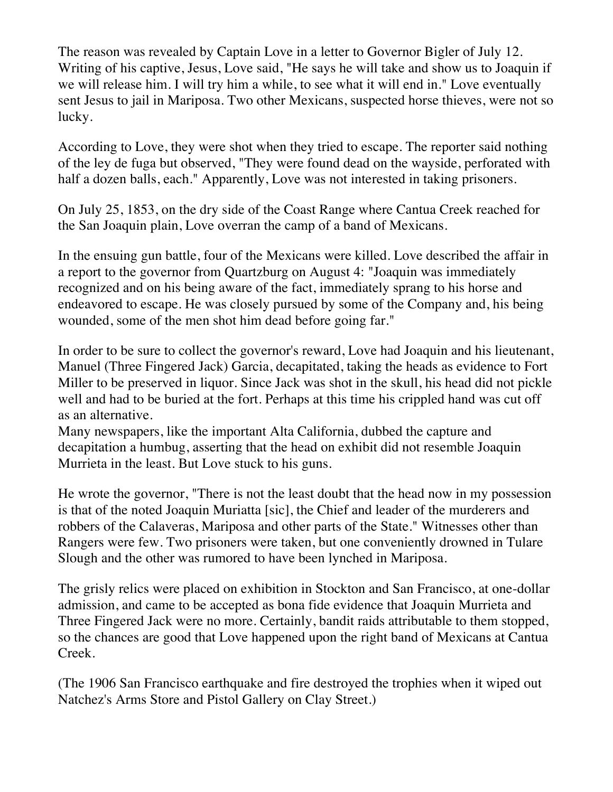The reason was revealed by Captain Love in a letter to Governor Bigler of July 12. Writing of his captive, Jesus, Love said, "He says he will take and show us to Joaquin if we will release him. I will try him a while, to see what it will end in." Love eventually sent Jesus to jail in Mariposa. Two other Mexicans, suspected horse thieves, were not so lucky.

According to Love, they were shot when they tried to escape. The reporter said nothing of the ley de fuga but observed, "They were found dead on the wayside, perforated with half a dozen balls, each." Apparently, Love was not interested in taking prisoners.

On July 25, 1853, on the dry side of the Coast Range where Cantua Creek reached for the San Joaquin plain, Love overran the camp of a band of Mexicans.

In the ensuing gun battle, four of the Mexicans were killed. Love described the affair in a report to the governor from Quartzburg on August 4: "Joaquin was immediately recognized and on his being aware of the fact, immediately sprang to his horse and endeavored to escape. He was closely pursued by some of the Company and, his being wounded, some of the men shot him dead before going far."

In order to be sure to collect the governor's reward, Love had Joaquin and his lieutenant, Manuel (Three Fingered Jack) Garcia, decapitated, taking the heads as evidence to Fort Miller to be preserved in liquor. Since Jack was shot in the skull, his head did not pickle well and had to be buried at the fort. Perhaps at this time his crippled hand was cut off as an alternative.

Many newspapers, like the important Alta California, dubbed the capture and decapitation a humbug, asserting that the head on exhibit did not resemble Joaquin Murrieta in the least. But Love stuck to his guns.

He wrote the governor, "There is not the least doubt that the head now in my possession is that of the noted Joaquin Muriatta [sic], the Chief and leader of the murderers and robbers of the Calaveras, Mariposa and other parts of the State." Witnesses other than Rangers were few. Two prisoners were taken, but one conveniently drowned in Tulare Slough and the other was rumored to have been lynched in Mariposa.

The grisly relics were placed on exhibition in Stockton and San Francisco, at one-dollar admission, and came to be accepted as bona fide evidence that Joaquin Murrieta and Three Fingered Jack were no more. Certainly, bandit raids attributable to them stopped, so the chances are good that Love happened upon the right band of Mexicans at Cantua Creek.

(The 1906 San Francisco earthquake and fire destroyed the trophies when it wiped out Natchez's Arms Store and Pistol Gallery on Clay Street.)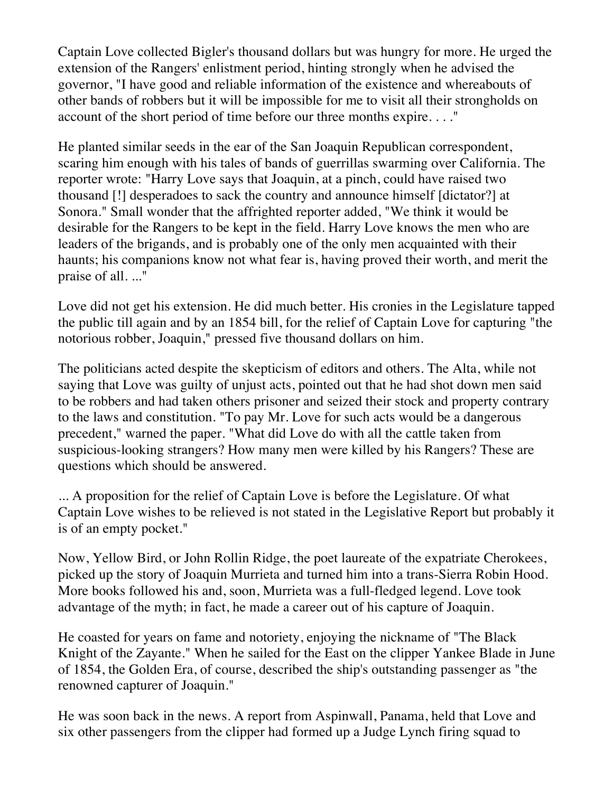Captain Love collected Bigler's thousand dollars but was hungry for more. He urged the extension of the Rangers' enlistment period, hinting strongly when he advised the governor, "I have good and reliable information of the existence and whereabouts of other bands of robbers but it will be impossible for me to visit all their strongholds on account of the short period of time before our three months expire. . . ."

He planted similar seeds in the ear of the San Joaquin Republican correspondent, scaring him enough with his tales of bands of guerrillas swarming over California. The reporter wrote: "Harry Love says that Joaquin, at a pinch, could have raised two thousand [!] desperadoes to sack the country and announce himself [dictator?] at Sonora." Small wonder that the affrighted reporter added, "We think it would be desirable for the Rangers to be kept in the field. Harry Love knows the men who are leaders of the brigands, and is probably one of the only men acquainted with their haunts; his companions know not what fear is, having proved their worth, and merit the praise of all. ..."

Love did not get his extension. He did much better. His cronies in the Legislature tapped the public till again and by an 1854 bill, for the relief of Captain Love for capturing "the notorious robber, Joaquin," pressed five thousand dollars on him.

The politicians acted despite the skepticism of editors and others. The Alta, while not saying that Love was guilty of unjust acts, pointed out that he had shot down men said to be robbers and had taken others prisoner and seized their stock and property contrary to the laws and constitution. "To pay Mr. Love for such acts would be a dangerous precedent," warned the paper. "What did Love do with all the cattle taken from suspicious-looking strangers? How many men were killed by his Rangers? These are questions which should be answered.

... A proposition for the relief of Captain Love is before the Legislature. Of what Captain Love wishes to be relieved is not stated in the Legislative Report but probably it is of an empty pocket."

Now, Yellow Bird, or John Rollin Ridge, the poet laureate of the expatriate Cherokees, picked up the story of Joaquin Murrieta and turned him into a trans-Sierra Robin Hood. More books followed his and, soon, Murrieta was a full-fledged legend. Love took advantage of the myth; in fact, he made a career out of his capture of Joaquin.

He coasted for years on fame and notoriety, enjoying the nickname of "The Black Knight of the Zayante." When he sailed for the East on the clipper Yankee Blade in June of 1854, the Golden Era, of course, described the ship's outstanding passenger as "the renowned capturer of Joaquin."

He was soon back in the news. A report from Aspinwall, Panama, held that Love and six other passengers from the clipper had formed up a Judge Lynch firing squad to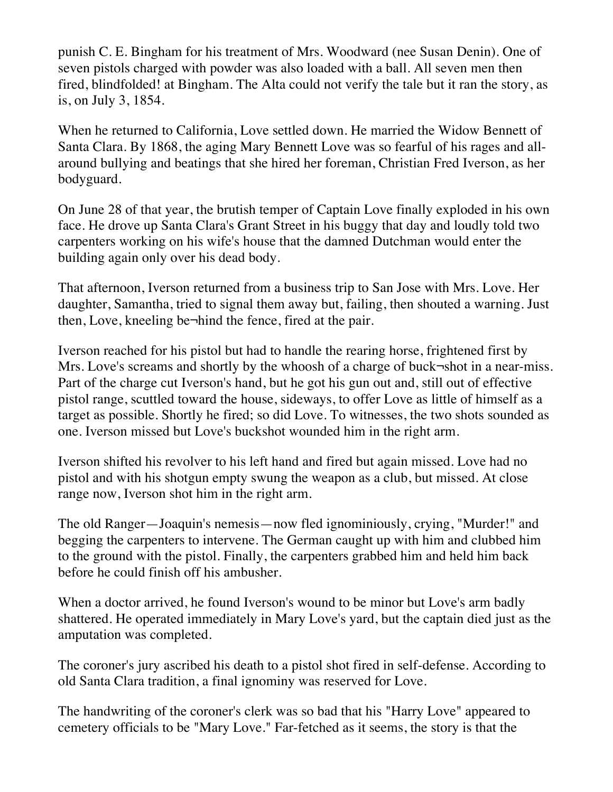punish C. E. Bingham for his treatment of Mrs. Woodward (nee Susan Denin). One of seven pistols charged with powder was also loaded with a ball. All seven men then fired, blindfolded! at Bingham. The Alta could not verify the tale but it ran the story, as is, on July 3, 1854.

When he returned to California, Love settled down. He married the Widow Bennett of Santa Clara. By 1868, the aging Mary Bennett Love was so fearful of his rages and allaround bullying and beatings that she hired her foreman, Christian Fred Iverson, as her bodyguard.

On June 28 of that year, the brutish temper of Captain Love finally exploded in his own face. He drove up Santa Clara's Grant Street in his buggy that day and loudly told two carpenters working on his wife's house that the damned Dutchman would enter the building again only over his dead body.

That afternoon, Iverson returned from a business trip to San Jose with Mrs. Love. Her daughter, Samantha, tried to signal them away but, failing, then shouted a warning. Just then, Love, kneeling be¬hind the fence, fired at the pair.

Iverson reached for his pistol but had to handle the rearing horse, frightened first by Mrs. Love's screams and shortly by the whoosh of a charge of buck¬shot in a near-miss. Part of the charge cut Iverson's hand, but he got his gun out and, still out of effective pistol range, scuttled toward the house, sideways, to offer Love as little of himself as a target as possible. Shortly he fired; so did Love. To witnesses, the two shots sounded as one. Iverson missed but Love's buckshot wounded him in the right arm.

Iverson shifted his revolver to his left hand and fired but again missed. Love had no pistol and with his shotgun empty swung the weapon as a club, but missed. At close range now, Iverson shot him in the right arm.

The old Ranger—Joaquin's nemesis—now fled ignominiously, crying, "Murder!" and begging the carpenters to intervene. The German caught up with him and clubbed him to the ground with the pistol. Finally, the carpenters grabbed him and held him back before he could finish off his ambusher.

When a doctor arrived, he found Iverson's wound to be minor but Love's arm badly shattered. He operated immediately in Mary Love's yard, but the captain died just as the amputation was completed.

The coroner's jury ascribed his death to a pistol shot fired in self-defense. According to old Santa Clara tradition, a final ignominy was reserved for Love.

The handwriting of the coroner's clerk was so bad that his "Harry Love" appeared to cemetery officials to be "Mary Love." Far-fetched as it seems, the story is that the